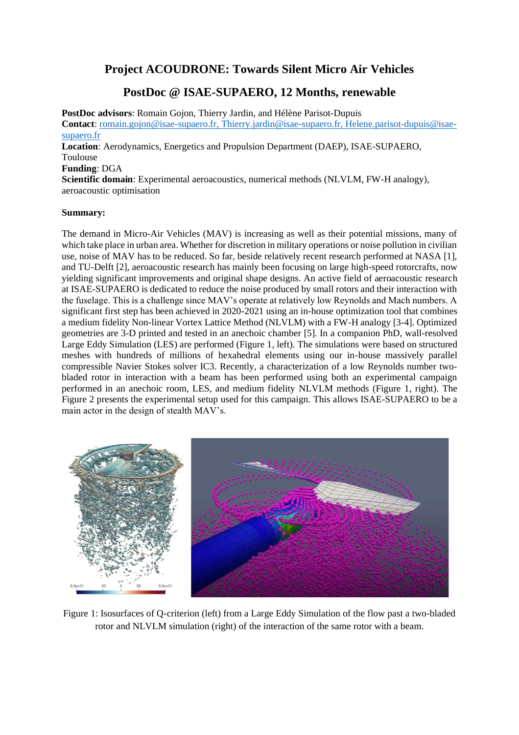## **Project ACOUDRONE: Towards Silent Micro Air Vehicles**

# **PostDoc @ ISAE-SUPAERO, 12 Months, renewable**

**PostDoc advisors**: Romain Gojon, Thierry Jardin, and Hélène Parisot-Dupuis **Contact**: [romain.gojon@isae-supaero.fr,](mailto:romain.gojon@isae-supaero.fr) [Thierry.jardin@isae-supaero.fr,](mailto:Thierry.jardin@isae-supaero.fr) Helene.parisot-dupuis@isaesupaero.fr

**Location**: Aerodynamics, Energetics and Propulsion Department (DAEP), ISAE-SUPAERO, Toulouse

#### **Funding**: DGA

**Scientific domain**: Experimental aeroacoustics, numerical methods (NLVLM, FW-H analogy), aeroacoustic optimisation

#### **Summary:**

The demand in Micro-Air Vehicles (MAV) is increasing as well as their potential missions, many of which take place in urban area. Whether for discretion in military operations or noise pollution in civilian use, noise of MAV has to be reduced. So far, beside relatively recent research performed at NASA [1], and TU-Delft [2], aeroacoustic research has mainly been focusing on large high-speed rotorcrafts, now yielding significant improvements and original shape designs. An active field of aeroacoustic research at ISAE-SUPAERO is dedicated to reduce the noise produced by small rotors and their interaction with the fuselage. This is a challenge since MAV's operate at relatively low Reynolds and Mach numbers. A significant first step has been achieved in 2020-2021 using an in-house optimization tool that combines a medium fidelity Non-linear Vortex Lattice Method (NLVLM) with a FW-H analogy [3-4]. Optimized geometries are 3-D printed and tested in an anechoic chamber [5]. In a companion PhD, wall-resolved Large Eddy Simulation (LES) are performed (Figure 1, left). The simulations were based on structured meshes with hundreds of millions of hexahedral elements using our in-house massively parallel compressible Navier Stokes solver IC3. Recently, a characterization of a low Reynolds number twobladed rotor in interaction with a beam has been performed using both an experimental campaign performed in an anechoic room, LES, and medium fidelity NLVLM methods (Figure 1, right). The Figure 2 presents the experimental setup used for this campaign. This allows ISAE-SUPAERO to be a main actor in the design of stealth MAV's.



Figure 1: Isosurfaces of Q-criterion (left) from a Large Eddy Simulation of the flow past a two-bladed rotor and NLVLM simulation (right) of the interaction of the same rotor with a beam.